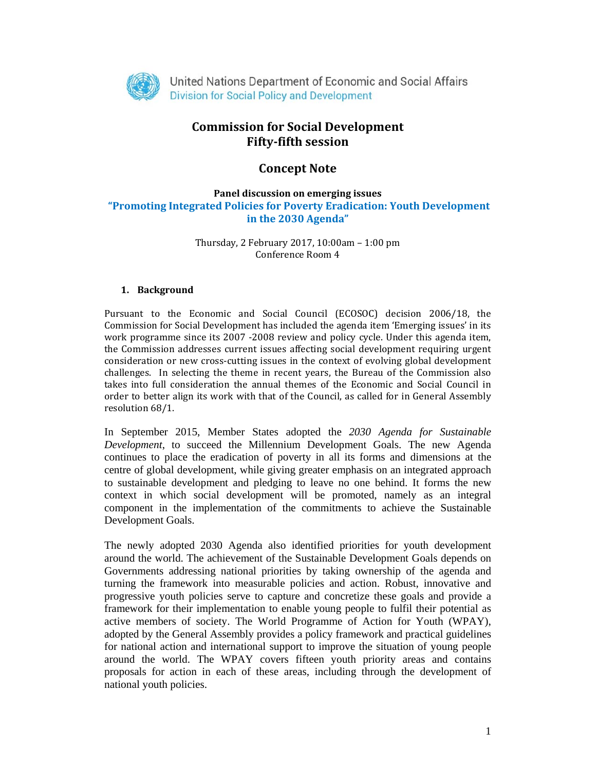

# **Commission for Social Development Fifty‐fifth session**

# **Concept Note**

## **Panel discussion on emerging issues "Promoting Integrated Policies for Poverty Eradication: Youth Development in the 2030 Agenda"**

Thursday, 2 February 2017,  $10:00$ am –  $1:00$  pm Conference Room 4

## **1. Background**

Pursuant to the Economic and Social Council (ECOSOC) decision 2006/18, the Commission for Social Development has included the agenda item 'Emerging issues' in its work programme since its 2007 -2008 review and policy cycle. Under this agenda item, the Commission addresses current issues affecting social development requiring urgent consideration or new cross-cutting issues in the context of evolving global development challenges. In selecting the theme in recent years, the Bureau of the Commission also takes into full consideration the annual themes of the Economic and Social Council in order to better align its work with that of the Council, as called for in General Assembly resolution 68/1.

In September 2015, Member States adopted the *2030 Agenda for Sustainable Development*, to succeed the Millennium Development Goals. The new Agenda continues to place the eradication of poverty in all its forms and dimensions at the centre of global development, while giving greater emphasis on an integrated approach to sustainable development and pledging to leave no one behind. It forms the new context in which social development will be promoted, namely as an integral component in the implementation of the commitments to achieve the Sustainable Development Goals.

The newly adopted 2030 Agenda also identified priorities for youth development around the world. The achievement of the Sustainable Development Goals depends on Governments addressing national priorities by taking ownership of the agenda and turning the framework into measurable policies and action. Robust, innovative and progressive youth policies serve to capture and concretize these goals and provide a framework for their implementation to enable young people to fulfil their potential as active members of society. The World Programme of Action for Youth (WPAY), adopted by the General Assembly provides a policy framework and practical guidelines for national action and international support to improve the situation of young people around the world. The WPAY covers fifteen youth priority areas and contains proposals for action in each of these areas, including through the development of national youth policies.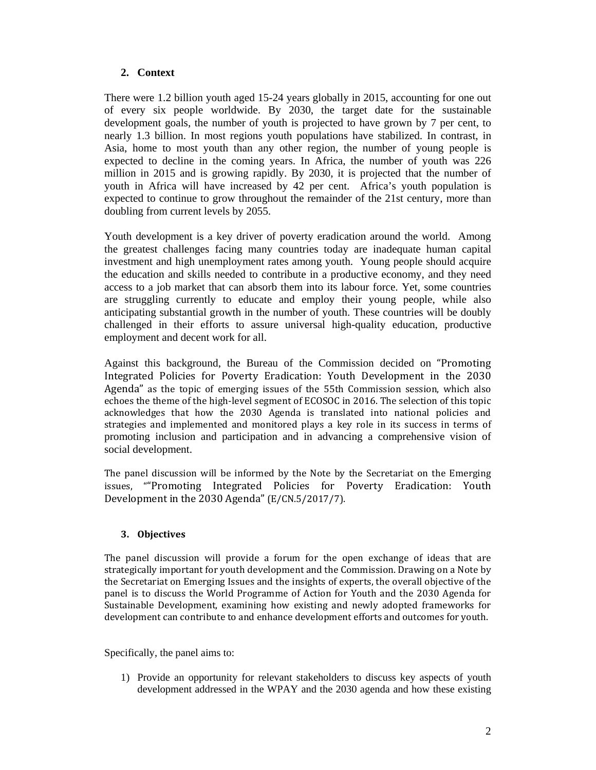# **2. Context**

There were 1.2 billion youth aged 15-24 years globally in 2015, accounting for one out of every six people worldwide. By 2030, the target date for the sustainable development goals, the number of youth is projected to have grown by 7 per cent, to nearly 1.3 billion. In most regions youth populations have stabilized. In contrast, in Asia, home to most youth than any other region, the number of young people is expected to decline in the coming years. In Africa, the number of youth was 226 million in 2015 and is growing rapidly. By 2030, it is projected that the number of youth in Africa will have increased by 42 per cent. Africa's youth population is expected to continue to grow throughout the remainder of the 21st century, more than doubling from current levels by 2055.

Youth development is a key driver of poverty eradication around the world. Among the greatest challenges facing many countries today are inadequate human capital investment and high unemployment rates among youth. Young people should acquire the education and skills needed to contribute in a productive economy, and they need access to a job market that can absorb them into its labour force. Yet, some countries are struggling currently to educate and employ their young people, while also anticipating substantial growth in the number of youth. These countries will be doubly challenged in their efforts to assure universal high-quality education, productive employment and decent work for all.

Against this background, the Bureau of the Commission decided on "Promoting Integrated Policies for Poverty Eradication: Youth Development in the 2030 Agenda" as the topic of emerging issues of the 55th Commission session, which also echoes the theme of the high-level segment of ECOSOC in 2016. The selection of this topic acknowledges that how the 2030 Agenda is translated into national policies and strategies and implemented and monitored plays a key role in its success in terms of promoting inclusion and participation and in advancing a comprehensive vision of social development. 

The panel discussion will be informed by the Note by the Secretariat on the Emerging issues, ""Promoting Integrated Policies for Poverty Eradication: Youth Development in the  $2030$  Agenda" (E/CN.5/2017/7).

## **3. Objectives**

The panel discussion will provide a forum for the open exchange of ideas that are strategically important for youth development and the Commission. Drawing on a Note by the Secretariat on Emerging Issues and the insights of experts, the overall objective of the panel is to discuss the World Programme of Action for Youth and the 2030 Agenda for Sustainable Development, examining how existing and newly adopted frameworks for development can contribute to and enhance development efforts and outcomes for youth.

Specifically, the panel aims to:

1) Provide an opportunity for relevant stakeholders to discuss key aspects of youth development addressed in the WPAY and the 2030 agenda and how these existing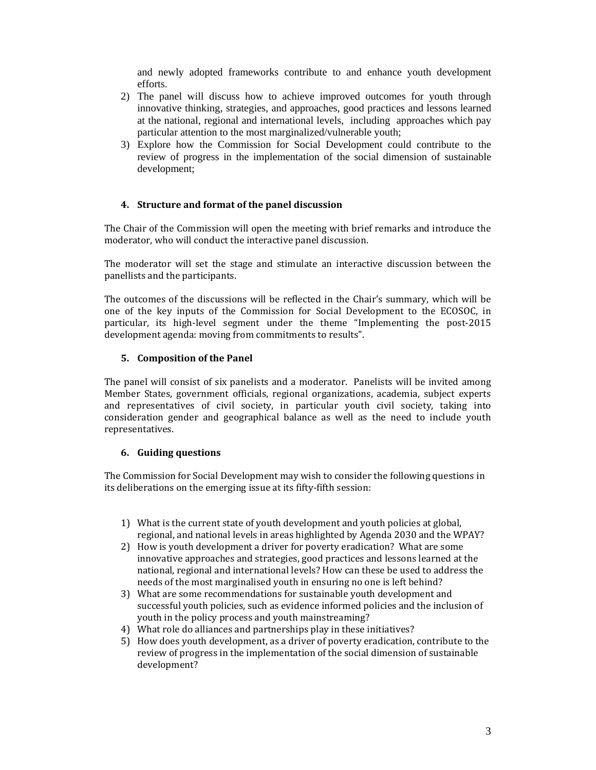and newly adopted frameworks contribute to and enhance youth development efforts.

- 2) The panel will discuss how to achieve improved outcomes for youth through innovative thinking, strategies, and approaches, good practices and lessons learned at the national, regional and international levels, including approaches which pay particular attention to the most marginalized/vulnerable youth;
- 3) Explore how the Commission for Social Development could contribute to the review of progress in the implementation of the social dimension of sustainable development;

#### **4. Structure and format of the panel discussion**

The Chair of the Commission will open the meeting with brief remarks and introduce the moderator, who will conduct the interactive panel discussion.

The moderator will set the stage and stimulate an interactive discussion between the panellists and the participants.

The outcomes of the discussions will be reflected in the Chair's summary, which will be one of the key inputs of the Commission for Social Development to the ECOSOC, in particular, its high-level segment under the theme "Implementing the post-2015 development agenda: moving from commitments to results".

#### **5. Composition of the Panel**

The panel will consist of six panelists and a moderator. Panelists will be invited among Member States, government officials, regional organizations, academia, subject experts and representatives of civil society, in particular youth civil society, taking into consideration gender and geographical balance as well as the need to include youth representatives. 

#### **6. Guiding questions**

The Commission for Social Development may wish to consider the following questions in its deliberations on the emerging issue at its fifty-fifth session:

- 1) What is the current state of youth development and youth policies at global, regional, and national levels in areas highlighted by Agenda 2030 and the WPAY?
- 2) How is youth development a driver for poverty eradication? What are some innovative approaches and strategies, good practices and lessons learned at the national, regional and international levels? How can these be used to address the needs of the most marginalised youth in ensuring no one is left behind?
- 3) What are some recommendations for sustainable youth development and successful youth policies, such as evidence informed policies and the inclusion of youth in the policy process and youth mainstreaming?
- 4) What role do alliances and partnerships play in these initiatives?
- 5) How does youth development, as a driver of poverty eradication, contribute to the review of progress in the implementation of the social dimension of sustainable development?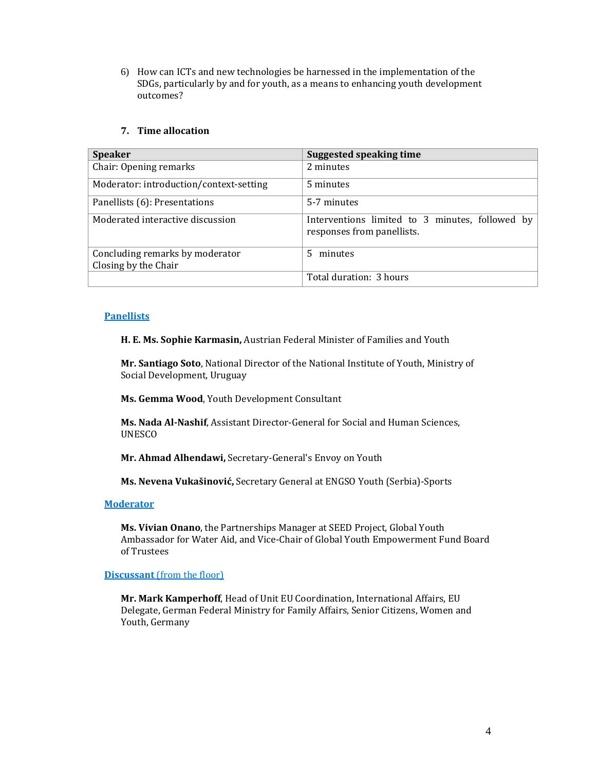6) How can ICTs and new technologies be harnessed in the implementation of the SDGs, particularly by and for youth, as a means to enhancing youth development outcomes? 

## **7. Time allocation**

| <b>Speaker</b>                          | Suggested speaking time                                                       |
|-----------------------------------------|-------------------------------------------------------------------------------|
| Chair: Opening remarks                  | 2 minutes                                                                     |
| Moderator: introduction/context-setting | 5 minutes                                                                     |
| Panellists (6): Presentations           | 5-7 minutes                                                                   |
| Moderated interactive discussion        | Interventions limited to 3 minutes, followed by<br>responses from panellists. |
| Concluding remarks by moderator         | 5 minutes                                                                     |
| Closing by the Chair                    |                                                                               |
|                                         | Total duration: 3 hours                                                       |

#### **Panellists**

**H. E. Ms. Sophie Karmasin,** Austrian Federal Minister of Families and Youth 

Mr. Santiago Soto, National Director of the National Institute of Youth, Ministry of Social Development, Uruguay

**Ms. Gemma Wood**, Youth Development Consultant

Ms. Nada Al-Nashif, Assistant Director-General for Social and Human Sciences, UNESCO 

**Mr. Ahmad Alhendawi, Secretary-General's Envoy on Youth** 

**Ms. Nevena Vukašinović,** Secretary General at ENGSO Youth (Serbia)‐Sports

#### **Moderator**

**Ms. Vivian Onano**, the Partnerships Manager at SEED Project, Global Youth Ambassador for Water Aid, and Vice-Chair of Global Youth Empowerment Fund Board of Trustees 

## **Discussant** (from the floor)

**Mr. Mark Kamperhoff**, Head of Unit EU Coordination, International Affairs, EU Delegate, German Federal Ministry for Family Affairs, Senior Citizens, Women and Youth, Germany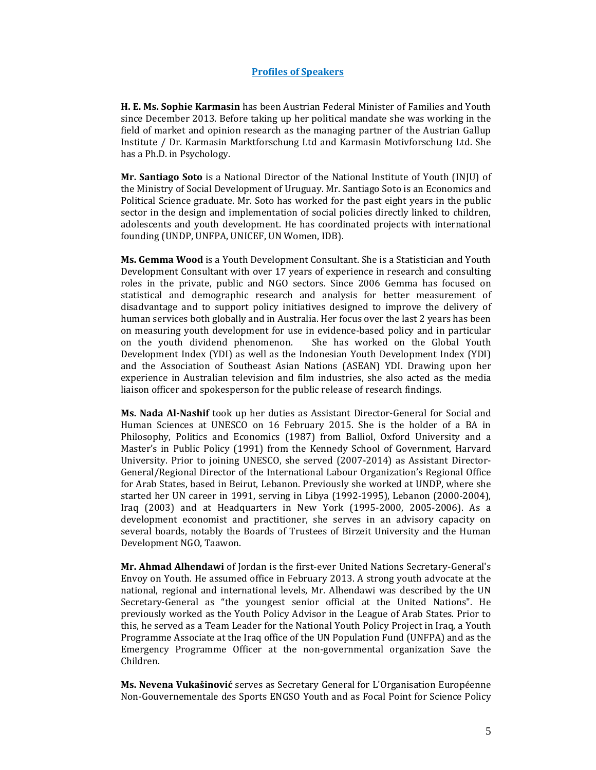#### **Profiles of Speakers**

**H. E. Ms. Sophie Karmasin** has been Austrian Federal Minister of Families and Youth since December 2013. Before taking up her political mandate she was working in the field of market and opinion research as the managing partner of the Austrian Gallup Institute / Dr. Karmasin Marktforschung Ltd and Karmasin Motivforschung Ltd. She has a Ph.D. in Psychology.

**Mr. Santiago Soto** is a National Director of the National Institute of Youth (INJU) of the Ministry of Social Development of Uruguay. Mr. Santiago Soto is an Economics and Political Science graduate. Mr. Soto has worked for the past eight years in the public sector in the design and implementation of social policies directly linked to children, adolescents and youth development. He has coordinated projects with international founding (UNDP, UNFPA, UNICEF, UN Women, IDB).

**Ms. Gemma Wood** is a Youth Development Consultant. She is a Statistician and Youth Development Consultant with over 17 years of experience in research and consulting roles in the private, public and NGO sectors. Since 2006 Gemma has focused on statistical and demographic research and analysis for better measurement of disadvantage and to support policy initiatives designed to improve the delivery of human services both globally and in Australia. Her focus over the last 2 years has been on measuring youth development for use in evidence-based policy and in particular on the youth dividend phenomenon. She has worked on the Global Youth Development Index (YDI) as well as the Indonesian Youth Development Index (YDI) and the Association of Southeast Asian Nations (ASEAN) YDI. Drawing upon her experience in Australian television and film industries, she also acted as the media liaison officer and spokesperson for the public release of research findings.

**Ms. Nada Al-Nashif** took up her duties as Assistant Director-General for Social and Human Sciences at UNESCO on 16 February 2015. She is the holder of a BA in Philosophy, Politics and Economics (1987) from Balliol, Oxford University and a Master's in Public Policy (1991) from the Kennedy School of Government, Harvard University. Prior to joining UNESCO, she served (2007-2014) as Assistant Director-General/Regional Director of the International Labour Organization's Regional Office for Arab States, based in Beirut, Lebanon. Previously she worked at UNDP, where she started her UN career in 1991, serving in Libya (1992-1995), Lebanon (2000-2004), Iraq  $(2003)$  and at Headquarters in New York  $(1995-2000, 2005-2006)$ . As a development economist and practitioner, she serves in an advisory capacity on several boards, notably the Boards of Trustees of Birzeit University and the Human Development NGO, Taawon.

**Mr. Ahmad Alhendawi** of Jordan is the first-ever United Nations Secretary-General's Envoy on Youth. He assumed office in February 2013. A strong youth advocate at the national, regional and international levels. Mr. Alhendawi was described by the UN Secretary-General as "the youngest senior official at the United Nations". He previously worked as the Youth Policy Advisor in the League of Arab States. Prior to this, he served as a Team Leader for the National Youth Policy Project in Iraq, a Youth Programme Associate at the Iraq office of the UN Population Fund (UNFPA) and as the Emergency Programme Officer at the non-governmental organization Save the Children. 

**Ms. Nevena Vukašinović** serves as Secretary General for L'Organisation Européenne Non-Gouvernementale des Sports ENGSO Youth and as Focal Point for Science Policy